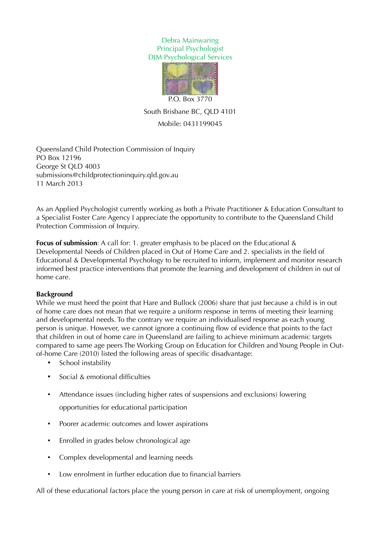## Debra Mainwaring Principal Psychologist DJM Psychological Services



South Brisbane BC, QLD 4101 Mobile: 0431199045

Queensland Child Protection Commission of Inquiry PO Box 12196 George St QLD 4003 submissions@childprotectioninquiry.qld.gov.au 11 March 2013

As an Applied Psychologist currently working as both a Private Practitioner & Education Consultant to a Specialist Foster Care Agency I appreciate the opportunity to contribute to the Queensland Child Protection Commission of Inquiry.

**Focus of submission**: A call for: 1. greater emphasis to be placed on the Educational & Developmental Needs of Children placed in Out of Home Care and 2. specialists in the field of Educational & Developmental Psychology to be recruited to inform, implement and monitor research informed best practice interventions that promote the learning and development of children in out of home care.

# **Background**

While we must heed the point that Hare and Bullock (2006) share that just because a child is in out of home care does not mean that we require a uniform response in terms of meeting their learning and developmental needs. To the contrary we require an individualised response as each young person is unique. However, we cannot ignore a continuing flow of evidence that points to the fact that children in out of home care in Queensland are failing to achieve minimum academic targets compared to same age peers The Working Group on Education for Children and Young People in Outof-home Care (2010) listed the following areas of specific disadvantage:

- School instability
- Social & emotional difficulties
- Attendance issues (including higher rates of suspensions and exclusions) lowering opportunities for educational participation
- Poorer academic outcomes and lower aspirations
- Enrolled in grades below chronological age
- Complex developmental and learning needs
- Low enrolment in further education due to financial barriers

All of these educational factors place the young person in care at risk of unemployment, ongoing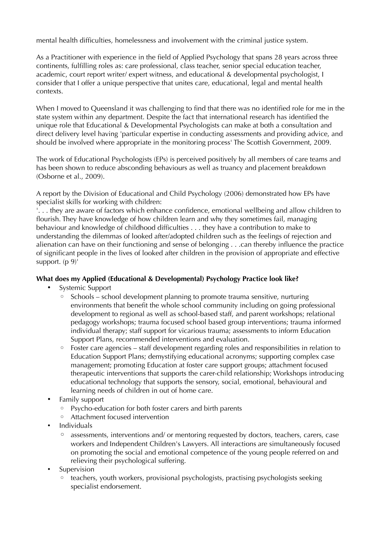mental health difficulties, homelessness and involvement with the criminal justice system.

As a Practitioner with experience in the field of Applied Psychology that spans 28 years across three continents, fulfilling roles as: care professional, class teacher, senior special education teacher, academic, court report writer/ expert witness, and educational & developmental psychologist, I consider that I offer a unique perspective that unites care, educational, legal and mental health contexts.

When I moved to Queensland it was challenging to find that there was no identified role for me in the state system within any department. Despite the fact that international research has identified the unique role that Educational & Developmental Psychologists can make at both a consultation and direct delivery level having 'particular expertise in conducting assessments and providing advice, and should be involved where appropriate in the monitoring process' The Scottish Government, 2009.

The work of Educational Psychologists (EPs) is perceived positively by all members of care teams and has been shown to reduce absconding behaviours as well as truancy and placement breakdown (Osborne et al., 2009).

A report by the Division of Educational and Child Psychology (2006) demonstrated how EPs have specialist skills for working with children:

'. . . they are aware of factors which enhance confidence, emotional wellbeing and allow children to flourish. They have knowledge of how children learn and why they sometimes fail, managing behaviour and knowledge of childhood difficulties . . . they have a contribution to make to understanding the dilemmas of looked after/adopted children such as the feelings of rejection and alienation can have on their functioning and sense of belonging . . .can thereby influence the practice of significant people in the lives of looked after children in the provision of appropriate and effective support.  $(p 9)^{1}$ 

# **What does my Applied (Educational & Developmental) Psychology Practice look like?**

- Systemic Support
	- Schools school development planning to promote trauma sensitive, nurturing environments that benefit the whole school community including on going professional development to regional as well as school-based staff, and parent workshops; relational pedagogy workshops; trauma focused school based group interventions; trauma informed individual therapy; staff support for vicarious trauma; assessments to inform Education Support Plans, recommended interventions and evaluation.
	- Foster care agencies staff development regarding roles and responsibilities in relation to Education Support Plans; demystifying educational acronyms; supporting complex case management; promoting Education at foster care support groups; attachment focused therapeutic interventions that supports the carer-child relationship; Workshops introducing educational technology that supports the sensory, social, emotional, behavioural and learning needs of children in out of home care.
- Family support
	- Psycho-education for both foster carers and birth parents
	- Attachment focused intervention
- Individuals
	- assessments, interventions and/ or mentoring requested by doctors, teachers, carers, case workers and Independent Children's Lawyers. All interactions are simultaneously focused on promoting the social and emotional competence of the young people referred on and relieving their psychological suffering.
- **Supervision** 
	- teachers, youth workers, provisional psychologists, practising psychologists seeking specialist endorsement.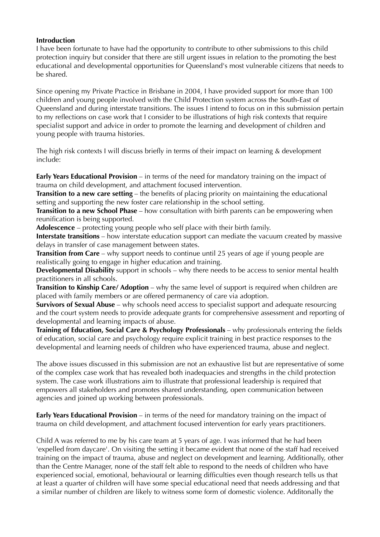### **Introduction**

I have been fortunate to have had the opportunity to contribute to other submissions to this child protection inquiry but consider that there are still urgent issues in relation to the promoting the best educational and developmental opportunities for Queensland's most vulnerable citizens that needs to be shared.

Since opening my Private Practice in Brisbane in 2004, I have provided support for more than 100 children and young people involved with the Child Protection system across the South-East of Queensland and during interstate transitions. The issues I intend to focus on in this submission pertain to my reflections on case work that I consider to be illustrations of high risk contexts that require specialist support and advice in order to promote the learning and development of children and young people with trauma histories.

The high risk contexts I will discuss briefly in terms of their impact on learning & development include:

**Early Years Educational Provision** – in terms of the need for mandatory training on the impact of trauma on child development, and attachment focused intervention.

**Transition to a new care setting** – the benefits of placing priority on maintaining the educational setting and supporting the new foster care relationship in the school setting.

**Transition to a new School Phase** – how consultation with birth parents can be empowering when reunification is being supported.

**Adolescence** – protecting young people who self place with their birth family.

**Interstate transitions** – how interstate education support can mediate the vacuum created by massive delays in transfer of case management between states.

**Transition from Care** – why support needs to continue until 25 years of age if young people are realistically going to engage in higher education and training.

**Developmental Disability** support in schools – why there needs to be access to senior mental health practitioners in all schools.

**Transition to Kinship Care/ Adoption** – why the same level of support is required when children are placed with family members or are offered permanency of care via adoption.

**Survivors of Sexual Abuse** – why schools need access to specialist support and adequate resourcing and the court system needs to provide adequate grants for comprehensive assessment and reporting of developmental and learning impacts of abuse.

**Training of Education, Social Care & Psychology Professionals** – why professionals entering the fields of education, social care and psychology require explicit training in best practice responses to the developmental and learning needs of children who have experienced trauma, abuse and neglect.

The above issues discussed in this submission are not an exhaustive list but are representative of some of the complex case work that has revealed both inadequacies and strengths in the child protection system. The case work illustrations aim to illustrate that professional leadership is required that empowers all stakeholders and promotes shared understanding, open communication between agencies and joined up working between professionals.

**Early Years Educational Provision** – in terms of the need for mandatory training on the impact of trauma on child development, and attachment focused intervention for early years practitioners.

Child A was referred to me by his care team at 5 years of age. I was informed that he had been 'expelled from daycare'. On visiting the setting it became evident that none of the staff had received training on the impact of trauma, abuse and neglect on development and learning. Additionally, other than the Centre Manager, none of the staff felt able to respond to the needs of children who have experienced social, emotional, behavioural or learning difficulties even though research tells us that at least a quarter of children will have some special educational need that needs addressing and that a similar number of children are likely to witness some form of domestic violence. Additonally the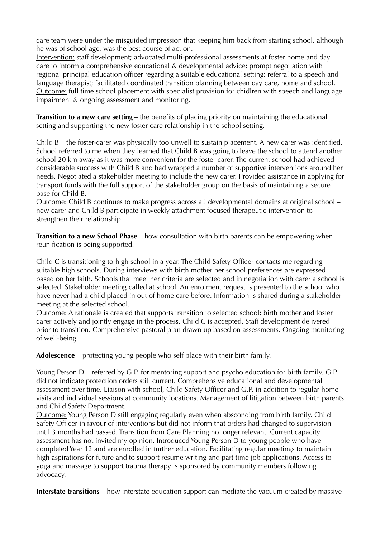care team were under the misguided impression that keeping him back from starting school, although he was of school age, was the best course of action.

Intervention: staff development; advocated multi-professional assessments at foster home and day care to inform a comprehensive educational & developmental advice; prompt negotiation with regional principal education officer regarding a suitable educational setting; referral to a speech and language therapist; facilitated coordinated transition planning between day care, home and school. Outcome: full time school placement with specialist provision for chidlren with speech and language impairment & ongoing assessment and monitoring.

**Transition to a new care setting** – the benefits of placing priority on maintaining the educational setting and supporting the new foster care relationship in the school setting.

Child B – the foster-carer was physically too unwell to sustain placement. A new carer was identified. School referred to me when they learned that Child B was going to leave the school to attend another school 20 km away as it was more convenient for the foster carer. The current school had achieved considerable success with Child B and had wrapped a number of supportive interventions around her needs. Negotiated a stakeholder meeting to include the new carer. Provided assistance in applying for transport funds with the full support of the stakeholder group on the basis of maintaining a secure base for Child B.

Outcome: Child B continues to make progress across all developmental domains at original school – new carer and Child B participate in weekly attachment focused therapeutic intervention to strengthen their relationship.

**Transition to a new School Phase** – how consultation with birth parents can be empowering when reunification is being supported.

Child C is transitioning to high school in a year. The Child Safety Officer contacts me regarding suitable high schools. During interviews with birth mother her school preferences are expressed based on her faith. Schools that meet her criteria are selected and in negotiation with carer a school is selected. Stakeholder meeting called at school. An enrolment request is presented to the school who have never had a child placed in out of home care before. Information is shared during a stakeholder meeting at the selected school.

Outcome: A rationale is created that supports transition to selected school; birth mother and foster carer actively and jointly engage in the process. Child C is accepted. Staff development delivered prior to transition. Comprehensive pastoral plan drawn up based on assessments. Ongoing monitoring of well-being.

**Adolescence** – protecting young people who self place with their birth family.

Young Person D – referred by G.P. for mentoring support and psycho education for birth family. G.P. did not indicate protection orders still current. Comprehensive educational and developmental assessment over time. Liaison with school, Child Safety Officer and G.P. in addition to regular home visits and individual sessions at community locations. Management of litigation between birth parents and Child Safety Department.

Outcome: Young Person D still engaging regularly even when absconding from birth family. Child Safety Officer in favour of interventions but did not inform that orders had changed to supervision until 3 months had passed. Transition from Care Planning no longer relevant. Current capacity assessment has not invited my opinion. Introduced Young Person D to young people who have completed Year 12 and are enrolled in further education. Facilitating regular meetings to maintain high aspirations for future and to support resume writing and part time job applications. Access to yoga and massage to support trauma therapy is sponsored by community members following advocacy.

**Interstate transitions** – how interstate education support can mediate the vacuum created by massive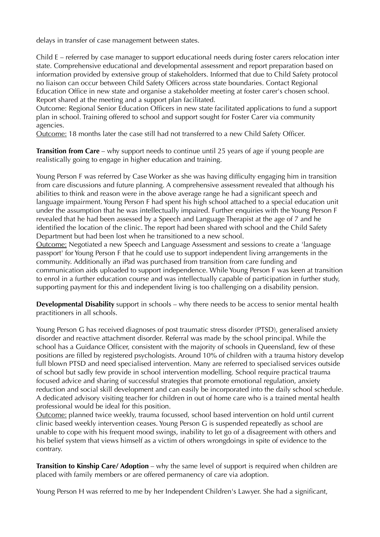delays in transfer of case management between states.

Child E – referred by case manager to support educational needs during foster carers relocation inter state. Comprehensive educational and developmental assessment and report preparation based on information provided by extensive group of stakeholders. Informed that due to Child Safety protocol no liaison can occur between Child Safety Officers across state boundaries. Contact Regional Education Office in new state and organise a stakeholder meeting at foster carer's chosen school. Report shared at the meeting and a support plan facilitated.

Outcome: Regional Senior Education Officers in new state facilitated applications to fund a support plan in school. Training offered to school and support sought for Foster Carer via community agencies.

Outcome: 18 months later the case still had not transferred to a new Child Safety Officer.

**Transition from Care** – why support needs to continue until 25 years of age if young people are realistically going to engage in higher education and training.

Young Person F was referred by Case Worker as she was having difficulty engaging him in transition from care discussions and future planning. A comprehensive assessment revealed that although his abilities to think and reason were in the above average range he had a significant speech and language impairment. Young Person F had spent his high school attached to a special education unit under the assumption that he was intellectually impaired. Further enquiries with the Young Person F revealed that he had been assessed by a Speech and Language Therapist at the age of 7 and he identified the location of the clinic. The report had been shared with school and the Child Safety Department but had been lost when he transitioned to a new school.

Outcome: Negotiated a new Speech and Language Assessment and sessions to create a 'language passport' for Young Person F that he could use to support independent living arrangements in the community. Additionally an iPad was purchased from transition from care funding and communication aids uploaded to support independence. While Young Person F was keen at transition to enrol in a further education course and was intellectually capable of participation in further study, supporting payment for this and independent living is too challenging on a disability pension.

**Developmental Disability** support in schools – why there needs to be access to senior mental health practitioners in all schools.

Young Person G has received diagnoses of post traumatic stress disorder (PTSD), generalised anxiety disorder and reactive attachment disorder. Referral was made by the school principal. While the school has a Guidance Officer, consistent with the majority of schools in Queensland, few of these positions are filled by registered psychologists. Around 10% of children with a trauma history develop full blown PTSD and need specialised intervention. Many are referred to specialised services outside of school but sadly few provide in school intervention modelling. School require practical trauma focused advice and sharing of successful strategies that promote emotional regulation, anxiety reduction and social skill development and can easily be incorporated into the daily school schedule. A dedicated advisory visiting teacher for children in out of home care who is a trained mental health professional would be ideal for this position.

Outcome: planned twice weekly, trauma focussed, school based intervention on hold until current clinic based weekly intervention ceases. Young Person G is suspended repeatedly as school are unable to cope with his frequent mood swings, inability to let go of a disagreement with others and his belief system that views himself as a victim of others wrongdoings in spite of evidence to the contrary.

**Transition to Kinship Care/ Adoption** – why the same level of support is required when children are placed with family members or are offered permanency of care via adoption.

Young Person H was referred to me by her Independent Children's Lawyer. She had a significant,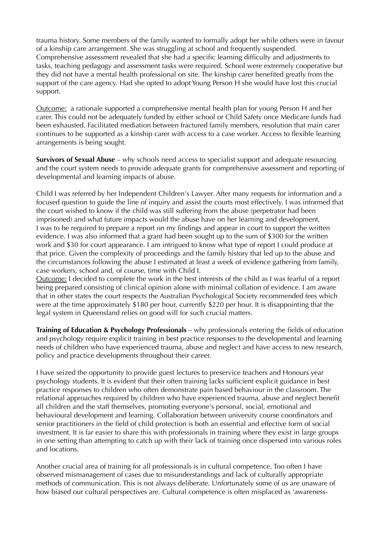trauma history. Some members of the family wanted to formally adopt her while others were in favour of a kinship care arrangement. She was struggling at school and frequently suspended. Comprehensive assessment revealed that she had a specific learning difficulty and adjustments to tasks, teaching pedagogy and assessment tasks were required. School were extremely cooperative but they did not have a mental health professional on site. The kinship carer benefited greatly from the support of the care agency. Had she opted to adopt Young Person H she would have lost this crucial support.

Outcome: a rationale supported a comprehensive mental health plan for young Person H and her carer. This could not be adequately funded by either school or Child Safety once Medicare funds had been exhausted. Facilitated mediation between fractured family members, resolution that main carer continues to be supported as a kinship carer with access to a case worker. Access to flexible learning arrangements is being sought.

**Survivors of Sexual Abuse** – why schools need access to specialist support and adequate resourcing and the court system needs to provide adequate grants for comprehensive assessment and reporting of developmental and learning impacts of abuse.

Child I was referred by her Independent Children's Lawyer. After many requests for information and a focused question to guide the line of inquiry and assist the courts most effectively. I was informed that the court wished to know if the child was still suffering from the abuse (perpetrator had been imprisoned) and what future impacts would the abuse have on her learning and development. I was to be required to prepare a report on my findings and appear in court to support the written evidence. I was also informed that a grant had been sought up to the sum of \$300 for the written work and \$30 for court appearance. I am intrigued to know what type of report I could produce at that price. Given the complexity of proceedings and the family history that led up to the abuse and the circumstances following the abuse I estimated at least a week of evidence gathering from family, case workers, school and, of course, time with Child I.

Outcome: I decided to complete the work in the best interests of the child as I was fearful of a report being prepared consisting of clinical opinion alone with minimal collation of evidence. I am aware that in other states the court respects the Australian Psychological Society recommended fees which were at the time approximately \$180 per hour, currently \$220 per hour. It is disappointing that the legal system in Queensland relies on good will for such crucial matters.

**Training of Education & Psychology Professionals** – why professionals entering the fields of education and psychology require explicit training in best practice responses to the developmental and learning needs of children who have experienced trauma, abuse and neglect and have access to new research, policy and practice developments throughout their career.

I have seized the opportunity to provide guest lectures to preservice teachers and Honours year psychology students. It is evident that their often training lacks sufficient explicit guidance in best practice responses to children who often demonstrate pain based behaviour in the classroom. The relational approaches required by children who have experienced trauma, abuse and neglect benefit all children and the staff themselves, promoting everyone's personal, social, emotional and behavioural development and learning. Collaboration between university course coordinators and senior practitioners in the field of child protection is both an essential and effective form of social investment. It is far easier to share this with professionals in training where they exist in large groups in one setting than attempting to catch up with their lack of training once dispersed into various roles and locations.

Another crucial area of training for all professionals is in cultural competence. Too often I have observed mismanagement of cases due to misunderstandings and lack of culturally appropriate methods of communication. This is not always deliberate. Unfortunately some of us are unaware of how biased our cultural perspectives are. Cultural competence is often misplaced as 'awareness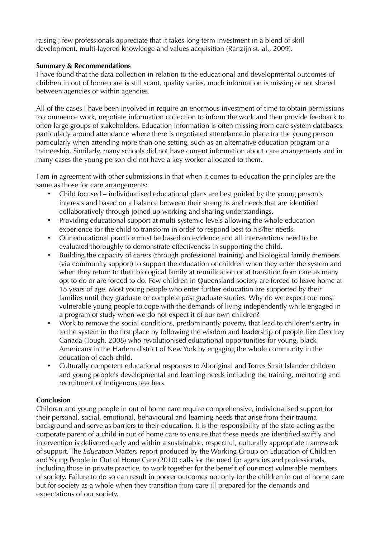raising'; few professionals appreciate that it takes long term investment in a blend of skill development, multi-layered knowledge and values acquisition (Ranzijn st. al., 2009).

#### **Summary & Recommendations**

I have found that the data collection in relation to the educational and developmental outcomes of children in out of home care is still scant, quality varies, much information is missing or not shared between agencies or within agencies.

All of the cases I have been involved in require an enormous investment of time to obtain permissions to commence work, negotiate information collection to inform the work and then provide feedback to often large groups of stakeholders. Education information is often missing from care system databases particularly around attendance where there is negotiated attendance in place for the young person particularly when attending more than one setting, such as an alternative education program or a traineeship. Similarly, many schools did not have current information about care arrangements and in many cases the young person did not have a key worker allocated to them.

I am in agreement with other submissions in that when it comes to education the principles are the same as those for care arrangements:

- Child focused individualised educational plans are best guided by the young person's interests and based on a balance between their strengths and needs that are identified collaboratively through joined up working and sharing understandings.
- Providing educational support at multi-systemic levels allowing the whole education experience for the child to transform in order to respond best to his/her needs.
- Our educational practice must be based on evidence and all interventions need to be evaluated thoroughly to demonstrate effectiveness in supporting the child.
- Building the capacity of carers (through professional training) and biological family members (via community support) to support the education of children when they enter the system and when they return to their biological family at reunification or at transition from care as many opt to do or are forced to do. Few children in Queensland society are forced to leave home at 18 years of age. Most young people who enter further education are supported by their families until they graduate or complete post graduate studies. Why do we expect our most vulnerable young people to cope with the demands of living independently while engaged in a program of study when we do not expect it of our own children?
- Work to remove the social conditions, predominantly poverty, that lead to children's entry in to the system in the first place by following the wisdom and leadership of people like Geoffrey Canada (Tough, 2008) who revolutionised educational opportunities for young, black Americans in the Harlem district of New York by engaging the whole community in the education of each child.
- Culturally competent educational responses to Aboriginal and Torres Strait Islander children and young people's developmental and learning needs including the training, mentoring and recruitment of Indigenous teachers.

## **Conclusion**

Children and young people in out of home care require comprehensive, individualised support for their personal, social, emotional, behavioural and learning needs that arise from their trauma background and serve as barriers to their education. It is the responsibility of the state acting as the corporate parent of a child in out of home care to ensure that these needs are identified swiftly and intervention is delivered early and within a sustainable, respectful, culturally appropriate framework of support. The *Education Matters* report produced by the Working Group on Education of Children and Young People in Out of Home Care (2010) calls for the need for agencies and professionals, including those in private practice, to work together for the benefit of our most vulnerable members of society. Failure to do so can result in poorer outcomes not only for the children in out of home care but for society as a whole when they transition from care ill-prepared for the demands and expectations of our society.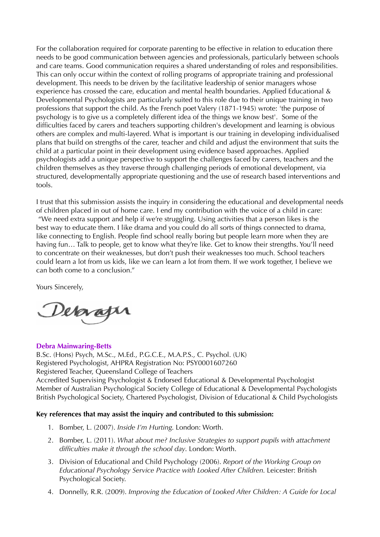For the collaboration required for corporate parenting to be effective in relation to education there needs to be good communication between agencies and professionals, particularly between schools and care teams. Good communication requires a shared understanding of roles and responsibilities. This can only occur within the context of rolling programs of appropriate training and professional development. This needs to be driven by the facilitative leadership of senior managers whose experience has crossed the care, education and mental health boundaries. Applied Educational & Developmental Psychologists are particularly suited to this role due to their unique training in two professions that support the child. As the French poet Valery (1871-1945) wrote: 'the purpose of psychology is to give us a completely different idea of the things we know best'. Some of the difficulties faced by carers and teachers supporting children's development and learning is obvious others are complex and multi-layered. What is important is our training in developing individualised plans that build on strengths of the carer, teacher and child and adjust the environment that suits the child at a particular point in their development using evidence based approaches. Applied psychologists add a unique perspective to support the challenges faced by carers, teachers and the children themselves as they traverse through challenging periods of emotional development, via structured, developmentally appropriate questioning and the use of research based interventions and tools.

I trust that this submission assists the inquiry in considering the educational and developmental needs of children placed in out of home care. I end my contribution with the voice of a child in care: "We need extra support and help if we're struggling. Using activities that a person likes is the best way to educate them. I like drama and you could do all sorts of things connected to drama, like connecting to English. People find school really boring but people learn more when they are having fun... Talk to people, get to know what they're like. Get to know their strengths. You'll need to concentrate on their weaknesses, but don't push their weaknesses too much. School teachers could learn a lot from us kids, like we can learn a lot from them. If we work together, I believe we can both come to a conclusion."

Yours Sincerely,

Debrager

#### **Debra Mainwaring-Betts**

B.Sc. (Hons) Psych, M.Sc., M.Ed., P.G.C.E., M.A.P.S., C. Psychol. (UK) Registered Psychologist, AHPRA Registration No: PSY0001607260 Registered Teacher, Queensland College of Teachers Accredited Supervising Psychologist & Endorsed Educational & Developmental Psychologist Member of Australian Psychological Society College of Educational & Developmental Psychologists British Psychological Society, Chartered Psychologist, Division of Educational & Child Psychologists

#### **Key references that may assist the inquiry and contributed to this submission:**

- 1. Bomber, L. (2007). *Inside I'm Hurting*. London: Worth.
- 2. Bomber, L. (2011). *What about me? Inclusive Strategies to support pupils with attachment difficulties make it through the school day*. London: Worth.
- 3. Division of Educational and Child Psychology (2006). *Report of the Working Group on Educational Psychology Service Practice with Looked After Children*. Leicester: British Psychological Society.
- 4. Donnelly, R.R. (2009). *Improving the Education of Looked After Children: A Guide for Local*